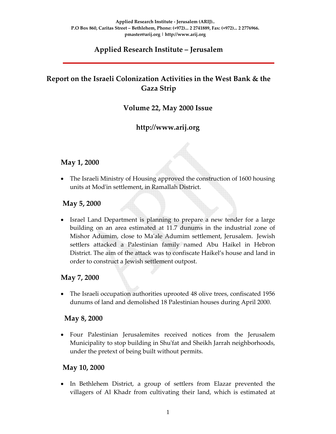# **Applied Research Institute – Jerusalem**

# **Report on the Israeli Colonization Activities in the West Bank & the Gaza Strip**

# **Volume 22, May 2000 Issue**

# **http://www.arij.org**

#### **May 1, 2000**

• The Israeli Ministry of Housing approved the construction of 1600 housing units at Modʹin settlement, in Ramallah District.

#### **May 5, 2000**

Israel Land Department is planning to prepare a new tender for a large building on an area estimated at 11.7 dunums in the industrial zone of Mishor Adumim, close to Maʹale Adumim settlement, Jerusalem. Jewish settlers attacked a Palestinian family named Abu Haikel in Hebron District. The aim of the attack was to confiscate Haikel's house and land in order to construct a Jewish settlement outpost.

#### **May 7, 2000**

• The Israeli occupation authorities uprooted 48 olive trees, confiscated 1956 dunums of land and demolished 18 Palestinian houses during April 2000.

#### **May 8, 2000**

• Four Palestinian Jerusalemites received notices from the Jerusalem Municipality to stop building in Shuʹfat and Sheikh Jarrah neighborhoods, under the pretext of being built without permits.

#### **May 10, 2000**

• In Bethlehem District, a group of settlers from Elazar prevented the villagers of Al Khadr from cultivating their land, which is estimated at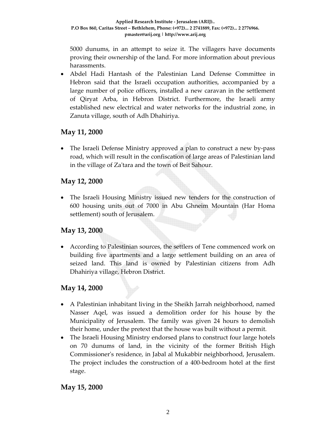5000 dunums, in an attempt to seize it. The villagers have documents proving their ownership of the land. For more information about previous harassments.

• Abdel Hadi Hantash of the Palestinian Land Defense Committee in Hebron said that the Israeli occupation authorities, accompanied by a large number of police officers, installed a new caravan in the settlement of Qiryat Arba, in Hebron District. Furthermore, the Israeli army established new electrical and water networks for the industrial zone, in Zanuta village, south of Adh Dhahiriya.

#### **May 11, 2000**

• The Israeli Defense Ministry approved a plan to construct a new by-pass road, which will result in the confiscation of large areas of Palestinian land in the village of Za'tara and the town of Beit Sahour.

#### **May 12, 2000**

• The Israeli Housing Ministry issued new tenders for the construction of 600 housing units out of 7000 in Abu Ghneim Mountain (Har Homa settlement) south of Jerusalem.

# **May 13, 2000**

• According to Palestinian sources, the settlers of Tene commenced work on building five apartments and a large settlement building on an area of seized land. This land is owned by Palestinian citizens from Adh Dhahiriya village, Hebron District.

# **May 14, 2000**

- A Palestinian inhabitant living in the Sheikh Jarrah neighborhood, named Nasser Aqel, was issued a demolition order for his house by the Municipality of Jerusalem. The family was given 24 hours to demolish their home, under the pretext that the house was built without a permit.
- The Israeli Housing Ministry endorsed plans to construct four large hotels on 70 dunums of land, in the vicinity of the former British High Commissionerʹs residence, in Jabal al Mukabbir neighborhood, Jerusalem. The project includes the construction of a 400‐bedroom hotel at the first stage.

# **May 15, 2000**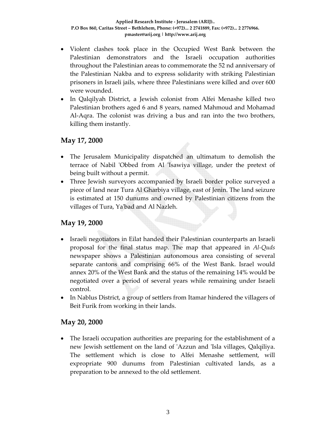- Violent clashes took place in the Occupied West Bank between the Palestinian demonstrators and the Israeli occupation authorities throughout the Palestinian areas to commemorate the 52 nd anniversary of the Palestinian Nakba and to express solidarity with striking Palestinian prisoners in Israeli jails, where three Palestinians were killed and over 600 were wounded.
- In Qalqilyah District, a Jewish colonist from Alfei Menashe killed two Palestinian brothers aged 6 and 8 years, named Mahmoud and Mohamad Al‐Aqra. The colonist was driving a bus and ran into the two brothers, killing them instantly.

# **May 17, 2000**

- The Jerusalem Municipality dispatched an ultimatum to demolish the terrace of Nabil ʹObbed from Al ʹIsawiya village, under the pretext of being built without a permit.
- Three Jewish surveyors accompanied by Israeli border police surveyed a piece of land near Tura Al Gharbiya village, east of Jenin. The land seizure is estimated at 150 dunums and owned by Palestinian citizens from the villages of Tura, Yaʹbad and Al Nazleh.

#### **May 19, 2000**

- Israeli negotiators in Eilat handed their Palestinian counterparts an Israeli proposal for the final status map. The map that appeared in *Al‐Quds* newspaper shows a Palestinian autonomous area consisting of several separate cantons and comprising 66% of the West Bank. Israel would annex 20% of the West Bank and the status of the remaining 14% would be negotiated over a period of several years while remaining under Israeli control.
- In Nablus District, a group of settlers from Itamar hindered the villagers of Beit Furik from working in their lands.

#### **May 20, 2000**

• The Israeli occupation authorities are preparing for the establishment of a new Jewish settlement on the land of ʹAzzun and ʹIsla villages, Qalqiliya. The settlement which is close to Alfei Menashe settlement, will expropriate 900 dunums from Palestinian cultivated lands, as a preparation to be annexed to the old settlement.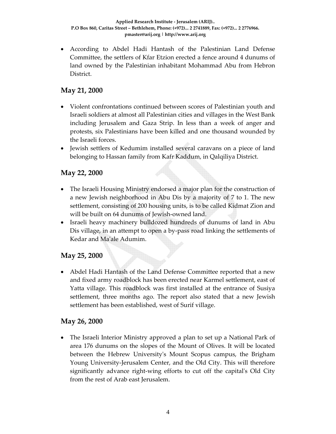• According to Abdel Hadi Hantash of the Palestinian Land Defense Committee, the settlers of Kfar Etzion erected a fence around 4 dunums of land owned by the Palestinian inhabitant Mohammad Abu from Hebron District.

# **May 21, 2000**

- Violent confrontations continued between scores of Palestinian youth and Israeli soldiers at almost all Palestinian cities and villages in the West Bank including Jerusalem and Gaza Strip. In less than a week of anger and protests, six Palestinians have been killed and one thousand wounded by the Israeli forces.
- Jewish settlers of Kedumim installed several caravans on a piece of land belonging to Hassan family from Kafr Kaddum, in Qalqiliya District.

# **May 22, 2000**

- The Israeli Housing Ministry endorsed a major plan for the construction of a new Jewish neighborhood in Abu Dis by a majority of 7 to 1. The new settlement, consisting of 200 housing units, is to be called Kidmat Zion and will be built on 64 dunums of Jewish‐owned land.
- Israeli heavy machinery bulldozed hundreds of dunums of land in Abu Dis village, in an attempt to open a by‐pass road linking the settlements of Kedar and Maʹale Adumim.

# **May 25, 2000**

• Abdel Hadi Hantash of the Land Defense Committee reported that a new and fixed army roadblock has been erected near Karmel settlement, east of Yatta village. This roadblock was first installed at the entrance of Susiya settlement, three months ago. The report also stated that a new Jewish settlement has been established, west of Surif village.

# **May 26, 2000**

• The Israeli Interior Ministry approved a plan to set up a National Park of area 176 dunums on the slopes of the Mount of Olives. It will be located between the Hebrew Universityʹs Mount Scopus campus, the Brigham Young University‐Jerusalem Center, and the Old City. This will therefore significantly advance right-wing efforts to cut off the capital's Old City from the rest of Arab east Jerusalem.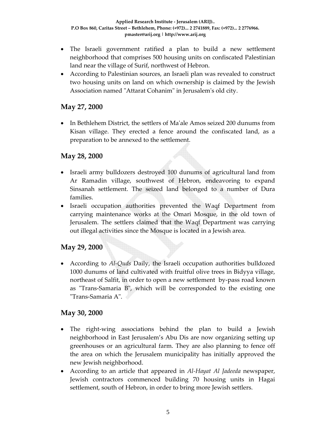- The Israeli government ratified a plan to build a new settlement neighborhood that comprises 500 housing units on confiscated Palestinian land near the village of Surif, northwest of Hebron.
- According to Palestinian sources, an Israeli plan was revealed to construct two housing units on land on which ownership is claimed by the Jewish Association named "Attarat Cohanim" in Jerusalem's old city.

# **May 27, 2000**

• In Bethlehem District, the settlers of Ma'ale Amos seized 200 dunums from Kisan village. They erected a fence around the confiscated land, as a preparation to be annexed to the settlement.

#### **May 28, 2000**

- Israeli army bulldozers destroyed 100 dunums of agricultural land from Ar Ramadin village, southwest of Hebron, endeavoring to expand Sinsanah settlement. The seized land belonged to a number of Dura families.
- Israeli occupation authorities prevented the Waqf Department from carrying maintenance works at the Omari Mosque, in the old town of Jerusalem. The settlers claimed that the Waqf Department was carrying out illegal activities since the Mosque is located in a Jewish area.

# **May 29, 2000**

• According to *Al‐Quds* Daily, the Israeli occupation authorities bulldozed 1000 dunums of land cultivated with fruitful olive trees in Bidyya village, northeast of Salfit, in order to open a new settlement by-pass road known as "Trans-Samaria B", which will be corresponded to the existing one ʺTrans‐Samaria Aʺ.

# **May 30, 2000**

- The right-wing associations behind the plan to build a Jewish neighborhood in East Jerusalem's Abu Dis are now organizing setting up greenhouses or an agricultural farm. They are also planning to fence off the area on which the Jerusalem municipality has initially approved the new Jewish neighborhood.
- According to an article that appeared in *Al‐Hayat Al Jadeeda* newspaper, Jewish contractors commenced building 70 housing units in Hagai settlement, south of Hebron, in order to bring more Jewish settlers.